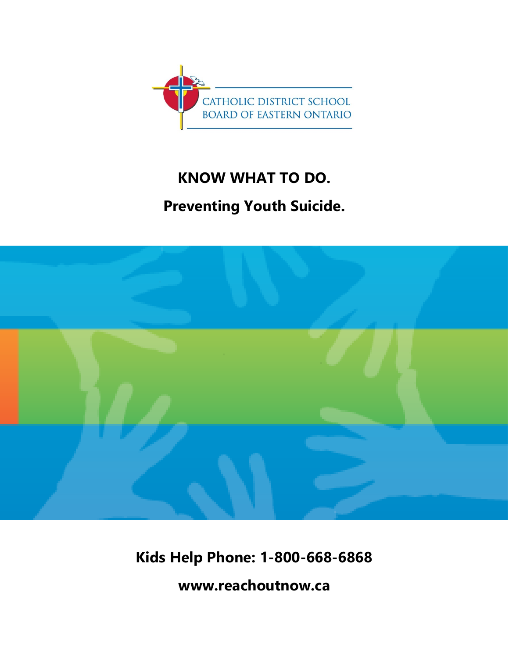

## **KNOW WHAT TO DO.**

# **Preventing Youth Suicide.**



**Kids Help Phone: 1-800-668-6868**

**www.reachoutnow.ca**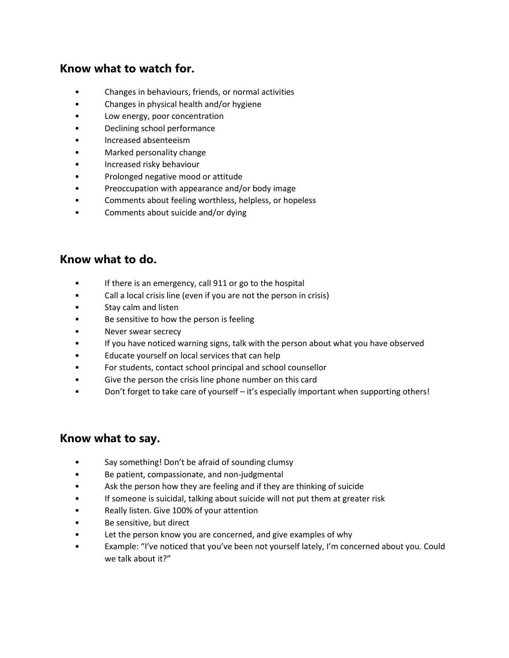#### **Know what to watch for.**

- Changes in behaviours, friends, or normal activities
- Changes in physical health and/or hygiene
- Low energy, poor concentration
- Declining school performance
- Increased absenteeism
- Marked personality change
- Increased risky behaviour
- Prolonged negative mood or attitude
- Preoccupation with appearance and/or body image
- Comments about feeling worthless, helpless, or hopeless
- Comments about suicide and/or dying

#### **Know what to do.**

- If there is an emergency, call 911 or go to the hospital
- Call a local crisis line (even if you are not the person in crisis)
- Stay calm and listen
- Be sensitive to how the person is feeling
- Never swear secrecy
- If you have noticed warning signs, talk with the person about what you have observed
- Educate yourself on local services that can help
- For students, contact school principal and school counsellor
- Give the person the crisis line phone number on this card
- Don't forget to take care of yourself it's especially important when supporting others!

#### **Know what to say.**

- Say something! Don't be afraid of sounding clumsy
- Be patient, compassionate, and non-judgmental
- Ask the person how they are feeling and if they are thinking of suicide
- If someone is suicidal, talking about suicide will not put them at greater risk
- Really listen. Give 100% of your attention
- Be sensitive, but direct
- Let the person know you are concerned, and give examples of why
- Example: "I've noticed that you've been not yourself lately, I'm concerned about you. Could we talk about it?"